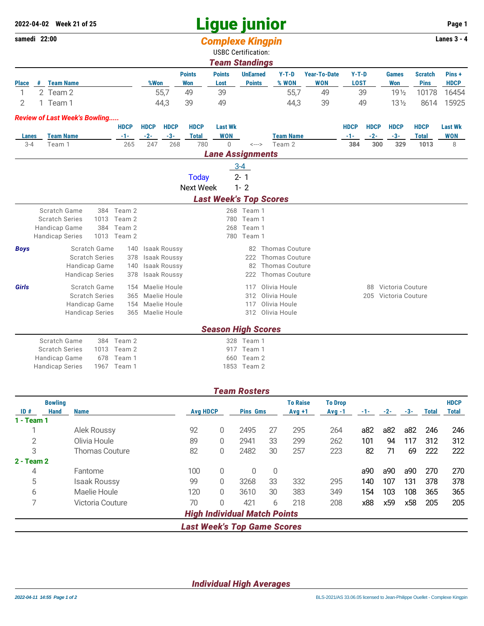## **Ligue junior 2022-04-02 Week 21 of 25 Page 1**

| samedi 22:00 |                       |                                      |                        |             |                     |                     |                  | <b>Complexe Kingpin</b>       |                            |                       |                     |             |             |                  |                | <b>Lanes 3 - 4</b> |
|--------------|-----------------------|--------------------------------------|------------------------|-------------|---------------------|---------------------|------------------|-------------------------------|----------------------------|-----------------------|---------------------|-------------|-------------|------------------|----------------|--------------------|
|              |                       |                                      |                        |             |                     |                     |                  | <b>USBC Certification:</b>    |                            |                       |                     |             |             |                  |                |                    |
|              |                       |                                      |                        |             |                     |                     |                  | <b>Team Standings</b>         |                            |                       |                     |             |             |                  |                |                    |
|              |                       |                                      |                        |             |                     |                     | <b>Points</b>    | <b>Points</b>                 | <b>UnEarned</b>            | $Y-T-D$               | <b>Year-To-Date</b> | $Y-T-D$     |             | <b>Games</b>     | <b>Scratch</b> | Pins+              |
| <b>Place</b> | #                     | <b>Team Name</b>                     |                        |             | %Won                |                     | <b>Won</b>       | Lost                          | <b>Points</b>              | % WON                 | <b>WON</b>          | <b>LOST</b> |             | <b>Won</b>       | <b>Pins</b>    | <b>HDCP</b>        |
| 1            |                       | 2 Team 2                             |                        |             |                     | 55,7                | 49               | 39                            |                            | 55,7                  | 49                  |             | 39          | 19 <sub>2</sub>  | 10178          | 16454              |
| 2            |                       | 1 Team 1                             |                        |             |                     | 44,3                | 39               | 49                            |                            | 44,3                  | 39                  |             | 49          | $13\frac{1}{2}$  | 8614           | 15925              |
|              |                       | <b>Review of Last Week's Bowling</b> |                        |             |                     |                     |                  |                               |                            |                       |                     |             |             |                  |                |                    |
|              |                       |                                      |                        | <b>HDCP</b> | <b>HDCP</b>         | <b>HDCP</b>         | <b>HDCP</b>      | <b>Last Wk</b>                |                            |                       |                     | <b>HDCP</b> | <b>HDCP</b> | <b>HDCP</b>      | <b>HDCP</b>    | <b>Last Wk</b>     |
| Lanes        |                       | <b>Team Name</b>                     |                        | $-1-$       | $-2-$               | $-3-$               | <b>Total</b>     | <b>WON</b>                    |                            | <b>Team Name</b>      |                     | $-1-$       | $-2-$       | $-3-$            | <b>Total</b>   | <b>WON</b>         |
| $3 - 4$      |                       | Team 1                               |                        | 265         | 247                 | 268                 | 780              | $\Omega$                      | $\leftarrow$ $\rightarrow$ | Team 2                |                     | 384         | 300         | 329              | 1013           | 8                  |
|              |                       |                                      |                        |             |                     |                     |                  | <b>Lane Assignments</b>       |                            |                       |                     |             |             |                  |                |                    |
|              |                       |                                      |                        |             |                     |                     |                  |                               | $3 - 4$                    |                       |                     |             |             |                  |                |                    |
|              |                       |                                      |                        |             |                     |                     | <b>Today</b>     |                               | $2 - 1$                    |                       |                     |             |             |                  |                |                    |
|              |                       |                                      |                        |             |                     |                     | <b>Next Week</b> |                               | $1 - 2$                    |                       |                     |             |             |                  |                |                    |
|              |                       |                                      |                        |             |                     |                     |                  | <b>Last Week's Top Scores</b> |                            |                       |                     |             |             |                  |                |                    |
|              |                       | Scratch Game                         |                        | 384 Team 2  |                     |                     |                  |                               | 268 Team 1                 |                       |                     |             |             |                  |                |                    |
|              |                       | <b>Scratch Series</b>                | 1013                   | Team 2      |                     |                     |                  | 780                           | Team 1                     |                       |                     |             |             |                  |                |                    |
|              |                       | Handicap Game                        | 384                    | Team 2      |                     |                     |                  | 268                           | Team 1                     |                       |                     |             |             |                  |                |                    |
|              |                       | <b>Handicap Series</b>               |                        | 1013 Team 2 |                     |                     |                  | 780                           | Team 1                     |                       |                     |             |             |                  |                |                    |
| <b>Boys</b>  |                       |                                      | Scratch Game           | 140         |                     | <b>Isaak Roussy</b> |                  |                               | 82                         | Thomas Couture        |                     |             |             |                  |                |                    |
|              | <b>Scratch Series</b> |                                      | 378                    |             | <b>Isaak Roussy</b> |                     |                  | 222                           | <b>Thomas Couture</b>      |                       |                     |             |             |                  |                |                    |
|              | Handicap Game<br>140  |                                      |                        |             | <b>Isaak Roussy</b> |                     |                  | 82                            | <b>Thomas Couture</b>      |                       |                     |             |             |                  |                |                    |
|              |                       |                                      | <b>Handicap Series</b> | 378         |                     | <b>Isaak Roussy</b> |                  |                               | 222                        | <b>Thomas Couture</b> |                     |             |             |                  |                |                    |
| Girls        |                       |                                      | Scratch Game           | 154         |                     | Maelie Houle        |                  |                               | 117                        | Olivia Houle          |                     |             | 88          | Victoria Couture |                |                    |
|              | <b>Scratch Series</b> |                                      |                        | 365         |                     | Maelie Houle        |                  |                               | 312                        | Olivia Houle          |                     |             | 205         | Victoria Couture |                |                    |
|              | Handicap Game         |                                      |                        | 154         |                     | Maelie Houle        |                  |                               | 117                        | Olivia Houle          |                     |             |             |                  |                |                    |
|              |                       |                                      | <b>Handicap Series</b> | 365         |                     | Maelie Houle        |                  |                               | 312                        | Olivia Houle          |                     |             |             |                  |                |                    |
|              |                       |                                      |                        |             |                     |                     |                  | <b>Season High Scores</b>     |                            |                       |                     |             |             |                  |                |                    |
|              |                       | Scratch Game                         |                        | 384 Team 2  |                     |                     |                  |                               | 328 Team 1                 |                       |                     |             |             |                  |                |                    |
|              |                       | <b>Scratch Series</b>                | 1013                   | Team 2      |                     |                     |                  | 917                           | Team 1                     |                       |                     |             |             |                  |                |                    |
|              |                       | Handicap Game                        | 678                    | Team 1      |                     |                     |                  |                               | 660 Team 2                 |                       |                     |             |             |                  |                |                    |

| 11 changed bailed the control of the control of the control of the control of the control of the control of the control of the control of the control of the control of the control of the control of the control of the contr |             | ----------- |
|--------------------------------------------------------------------------------------------------------------------------------------------------------------------------------------------------------------------------------|-------------|-------------|
| <b>Handicap Series</b>                                                                                                                                                                                                         | 1967 Team 1 | 1853 Team 2 |

|                |             |                       |                 |   | <b>Team Rosters</b>                 |              |                 |                |     |       |       |              |              |
|----------------|-------------|-----------------------|-----------------|---|-------------------------------------|--------------|-----------------|----------------|-----|-------|-------|--------------|--------------|
| <b>Bowling</b> |             |                       |                 |   |                                     |              | <b>To Raise</b> | <b>To Drop</b> |     |       |       |              | <b>HDCP</b>  |
| ID#            | <b>Hand</b> | <b>Name</b>           | <b>Avg HDCP</b> |   | <b>Pins Gms</b>                     |              | $Avg +1$        | $Avg -1$       | -1- | $-2-$ | $-3-$ | <b>Total</b> | <b>Total</b> |
| $1 - Team 1$   |             |                       |                 |   |                                     |              |                 |                |     |       |       |              |              |
|                |             | Alek Roussy           | 92              | 0 | 2495                                | 27           | 295             | 264            | a82 | a82   | a82   | 246          | 246          |
| 2              |             | Olivia Houle          | 89              | 0 | 2941                                | 33           | 299             | 262            | 101 | 94    | 117   | 312          | 312          |
| 3              |             | <b>Thomas Couture</b> | 82              | 0 | 2482                                | 30           | 257             | 223            | 82  | 71    | 69    | 222          | 222          |
| $2 - Team 2$   |             |                       |                 |   |                                     |              |                 |                |     |       |       |              |              |
| 4              |             | Fantome               | 100             | 0 | 0                                   | $\mathbf{0}$ |                 |                | a90 | a90   | a90   | 270          | 270          |
| 5              |             | <b>Isaak Roussy</b>   | 99              | 0 | 3268                                | 33           | 332             | 295            | 140 | 107   | 131   | 378          | 378          |
| 6              |             | Maelie Houle          | 120             | 0 | 3610                                | 30           | 383             | 349            | 154 | 103   | 108   | 365          | 365          |
| ⇁              |             | Victoria Couture      | 70              | 0 | 421                                 | 6            | 218             | 208            | x88 | x59   | x58   | 205          | 205          |
|                |             |                       |                 |   | <b>High Individual Match Points</b> |              |                 |                |     |       |       |              |              |
|                |             |                       |                 |   | <b>Last Week's Top Game Scores</b>  |              |                 |                |     |       |       |              |              |

*Individual High Averages*